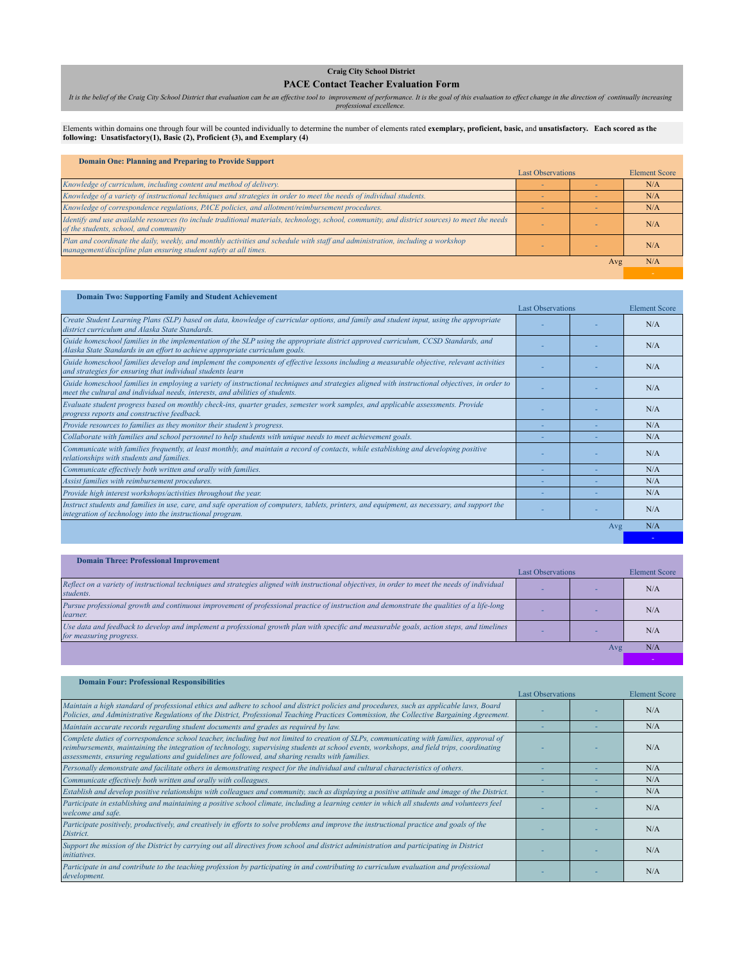## **Craig City School District**

**PACE Contact Teacher Evaluation Form**

It is the belief of the Craig City School District that evaluation can be an effective tool to improvement of performance. It is the goal of this evaluation to effect change in the direction of continually increasing<br>profe

Elements within domains one through four will be counted individually to determine the number of elements rated **exemplary, proficient, basic,** and **unsatisfactory. Each scored as the**<br>f**ollowing: Unsatisfactory(1), Basic** 

## **Domain One: Planning and Preparing to Provide Support**

*<u>Domain Three: Professional Improvement*</u>

|                                                                                                                                                                                                    | <b>Last Observations</b> |     | <b>Element Score</b> |
|----------------------------------------------------------------------------------------------------------------------------------------------------------------------------------------------------|--------------------------|-----|----------------------|
| Knowledge of curriculum, including content and method of delivery.                                                                                                                                 |                          |     | N/A                  |
| Knowledge of a variety of instructional techniques and strategies in order to meet the needs of individual students.                                                                               |                          |     | N/A                  |
| Knowledge of correspondence regulations, PACE policies, and allotment/reimbursement procedures.                                                                                                    |                          |     | N/A                  |
| Identify and use available resources (to include traditional materials, technology, school, community, and district sources) to meet the needs<br>of the students, school, and community           |                          |     | N/A                  |
| Plan and coordinate the daily, weekly, and monthly activities and schedule with staff and administration, including a workshop<br>management/discipline plan ensuring student safety at all times. |                          |     | N/A                  |
|                                                                                                                                                                                                    |                          | Avg | N/A                  |
|                                                                                                                                                                                                    |                          |     |                      |

| <b>Domain Two: Supporting Family and Student Achievement</b>                                                                                                                                                                    |                          |     |                      |
|---------------------------------------------------------------------------------------------------------------------------------------------------------------------------------------------------------------------------------|--------------------------|-----|----------------------|
|                                                                                                                                                                                                                                 | <b>Last Observations</b> |     | <b>Element Score</b> |
| Create Student Learning Plans (SLP) based on data, knowledge of curricular options, and family and student input, using the appropriate<br>district curriculum and Alaska State Standards.                                      |                          |     | N/A                  |
| Guide homeschool families in the implementation of the SLP using the appropriate district approved curriculum, CCSD Standards, and<br>Alaska State Standards in an effort to achieve appropriate curriculum goals.              |                          |     | N/A                  |
| Guide homeschool families develop and implement the components of effective lessons including a measurable objective, relevant activities<br>and strategies for ensuring that individual students learn                         |                          |     | N/A                  |
| Guide homeschool families in employing a variety of instructional techniques and strategies aligned with instructional objectives, in order to<br>meet the cultural and individual needs, interests, and abilities of students. |                          |     | N/A                  |
| Evaluate student progress based on monthly check-ins, quarter grades, semester work samples, and applicable assessments. Provide<br>progress reports and constructive feedback.                                                 |                          |     | N/A                  |
| Provide resources to families as they monitor their student's progress.                                                                                                                                                         |                          |     | N/A                  |
| Collaborate with families and school personnel to help students with unique needs to meet achievement goals.                                                                                                                    |                          |     | N/A                  |
| Communicate with families frequently, at least monthly, and maintain a record of contacts, while establishing and developing positive<br>relationships with students and families.                                              |                          |     | N/A                  |
| Communicate effectively both written and orally with families.                                                                                                                                                                  |                          |     | N/A                  |
| Assist families with reimbursement procedures.                                                                                                                                                                                  |                          |     | N/A                  |
| Provide high interest workshops/activities throughout the year.                                                                                                                                                                 |                          |     | N/A                  |
| Instruct students and families in use, care, and safe operation of computers, tablets, printers, and equipment, as necessary, and support the<br>integration of technology into the instructional program.                      |                          |     | N/A                  |
|                                                                                                                                                                                                                                 |                          | Avg | N/A                  |
|                                                                                                                                                                                                                                 |                          |     |                      |

|                                                                                                                                                                      | <b>Last Observations</b> |     | <b>Element Score</b> |
|----------------------------------------------------------------------------------------------------------------------------------------------------------------------|--------------------------|-----|----------------------|
| Reflect on a variety of instructional techniques and strategies aligned with instructional objectives, in order to meet the needs of individual<br>students.         |                          |     | N/A                  |
| Pursue professional growth and continuous improvement of professional practice of instruction and demonstrate the qualities of a life-long<br>learner.               |                          |     | N/A                  |
| Use data and feedback to develop and implement a professional growth plan with specific and measurable goals, action steps, and timelines<br>for measuring progress. |                          |     | N/A                  |
|                                                                                                                                                                      |                          | Avg | N/A                  |
|                                                                                                                                                                      |                          |     |                      |

| <b>Domain Four: Professional Responsibilities</b>                                                                                                                                                                                                                                                                                                                                            |                          |                      |
|----------------------------------------------------------------------------------------------------------------------------------------------------------------------------------------------------------------------------------------------------------------------------------------------------------------------------------------------------------------------------------------------|--------------------------|----------------------|
|                                                                                                                                                                                                                                                                                                                                                                                              | <b>Last Observations</b> | <b>Element Score</b> |
| Maintain a high standard of professional ethics and adhere to school and district policies and procedures, such as applicable laws, Board<br>Policies, and Administrative Regulations of the District, Professional Teaching Practices Commission, the Collective Bargaining Agreement.                                                                                                      |                          | N/A                  |
| Maintain accurate records regarding student documents and grades as required by law.                                                                                                                                                                                                                                                                                                         |                          | N/A                  |
| Complete duties of correspondence school teacher, including but not limited to creation of SLPs, communicating with families, approval of<br>reimbursements, maintaining the integration of technology, supervising students at school events, workshops, and field trips, coordinating<br>assessments, ensuring regulations and guidelines are followed, and sharing results with families. |                          | N/A                  |
| Personally demonstrate and facilitate others in demonstrating respect for the individual and cultural characteristics of others.                                                                                                                                                                                                                                                             |                          | N/A                  |
| Communicate effectively both written and orally with colleagues.                                                                                                                                                                                                                                                                                                                             |                          | N/A                  |
| Establish and develop positive relationships with colleagues and community, such as displaying a positive attitude and image of the District.                                                                                                                                                                                                                                                |                          | N/A                  |
| Participate in establishing and maintaining a positive school climate, including a learning center in which all students and volunteers feel<br>welcome and safe.                                                                                                                                                                                                                            |                          | N/A                  |
| Participate positively, productively, and creatively in efforts to solve problems and improve the instructional practice and goals of the<br>District.                                                                                                                                                                                                                                       |                          | N/A                  |
| Support the mission of the District by carrying out all directives from school and district administration and participating in District<br><i>initiatives.</i>                                                                                                                                                                                                                              |                          | N/A                  |
| Participate in and contribute to the teaching profession by participating in and contributing to curriculum evaluation and professional<br>development.                                                                                                                                                                                                                                      |                          | N/A                  |